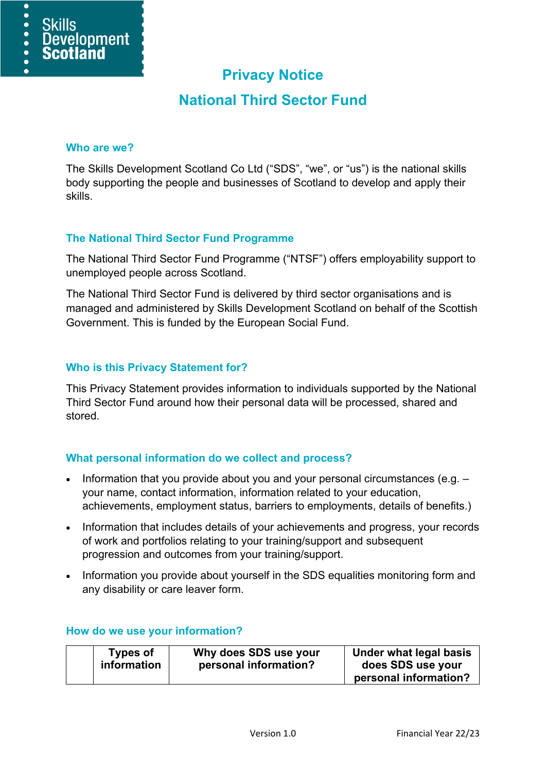# **Privacy Notice**

## **National Third Sector Fund**

#### **Who are we?**

 $\overline{\bullet}$  $\bullet$ 

 $\bullet$ 

**Skills** 

Development

**Scotland** 

The Skills Development Scotland Co Ltd ("SDS", "we", or "us") is the national skills body supporting the people and businesses of Scotland to develop and apply their skills.

## **The National Third Sector Fund Programme**

The National Third Sector Fund Programme ("NTSF") offers employability support to unemployed people across Scotland.

The National Third Sector Fund is delivered by third sector organisations and is managed and administered by Skills Development Scotland on behalf of the Scottish Government. This is funded by the European Social Fund.

### **Who is this Privacy Statement for?**

This Privacy Statement provides information to individuals supported by the National Third Sector Fund around how their personal data will be processed, shared and stored.

### **What personal information do we collect and process?**

- Information that you provide about you and your personal circumstances (e.g. your name, contact information, information related to your education, achievements, employment status, barriers to employments, details of benefits.)
- Information that includes details of your achievements and progress, your records of work and portfolios relating to your training/support and subsequent progression and outcomes from your training/support.
- Information you provide about yourself in the SDS equalities monitoring form and any disability or care leaver form.

| <b>Types of</b> | Why does SDS use your | Under what legal basis |
|-----------------|-----------------------|------------------------|
| information     | personal information? | does SDS use your      |
|                 |                       |                        |

#### **How do we use your information?**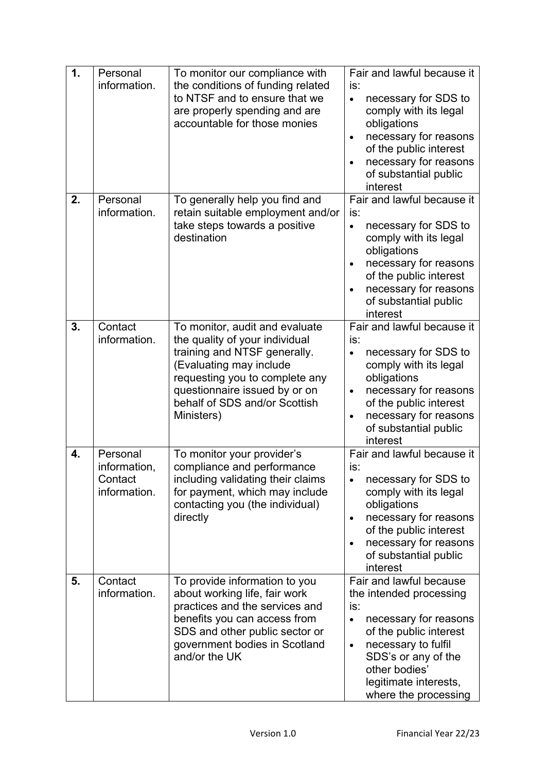| 1. | Personal<br>information.                            | To monitor our compliance with<br>the conditions of funding related<br>to NTSF and to ensure that we<br>are properly spending and are<br>accountable for those monies                                                                         | Fair and lawful because it<br>is:<br>necessary for SDS to<br>$\bullet$<br>comply with its legal<br>obligations<br>necessary for reasons<br>$\bullet$<br>of the public interest<br>necessary for reasons<br>of substantial public<br>interest              |
|----|-----------------------------------------------------|-----------------------------------------------------------------------------------------------------------------------------------------------------------------------------------------------------------------------------------------------|-----------------------------------------------------------------------------------------------------------------------------------------------------------------------------------------------------------------------------------------------------------|
| 2. | Personal<br>information.                            | To generally help you find and<br>retain suitable employment and/or<br>take steps towards a positive<br>destination                                                                                                                           | Fair and lawful because it<br>is:<br>necessary for SDS to<br>$\bullet$<br>comply with its legal<br>obligations<br>necessary for reasons<br>$\bullet$<br>of the public interest<br>necessary for reasons<br>of substantial public<br>interest              |
| 3. | Contact<br>information.                             | To monitor, audit and evaluate<br>the quality of your individual<br>training and NTSF generally.<br>(Evaluating may include<br>requesting you to complete any<br>questionnaire issued by or on<br>behalf of SDS and/or Scottish<br>Ministers) | Fair and lawful because it<br>is:<br>necessary for SDS to<br>$\bullet$<br>comply with its legal<br>obligations<br>necessary for reasons<br>$\bullet$<br>of the public interest<br>necessary for reasons<br>$\bullet$<br>of substantial public<br>interest |
| 4. | Personal<br>information,<br>Contact<br>information. | To monitor your provider's<br>compliance and performance<br>including validating their claims<br>for payment, which may include<br>contacting you (the individual)<br>directly                                                                | Fair and lawful because it<br>is:<br>necessary for SDS to<br>$\bullet$<br>comply with its legal<br>obligations<br>necessary for reasons<br>$\bullet$<br>of the public interest<br>necessary for reasons<br>$\bullet$<br>of substantial public<br>interest |
| 5. | Contact<br>information.                             | To provide information to you<br>about working life, fair work<br>practices and the services and<br>benefits you can access from<br>SDS and other public sector or<br>government bodies in Scotland<br>and/or the UK                          | Fair and lawful because<br>the intended processing<br>is:<br>necessary for reasons<br>$\bullet$<br>of the public interest<br>necessary to fulfil<br>$\bullet$<br>SDS's or any of the<br>other bodies'<br>legitimate interests,<br>where the processing    |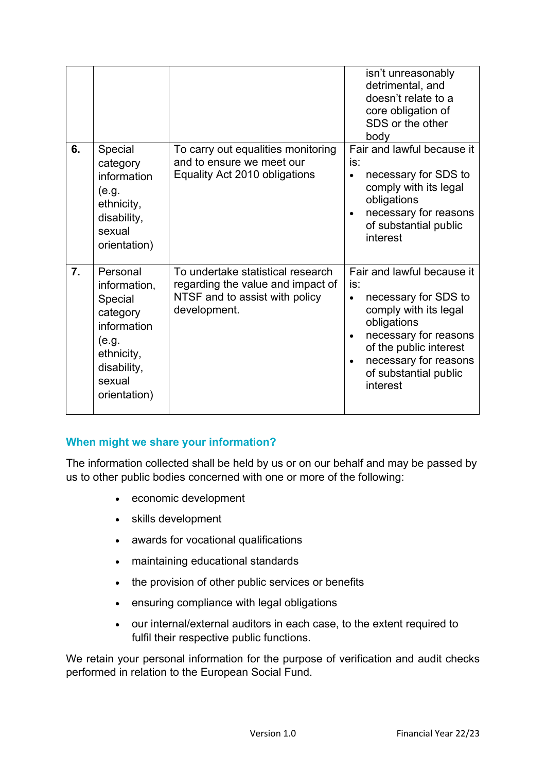|    |                                                                                                                                |                                                                                                                          | isn't unreasonably<br>detrimental, and<br>doesn't relate to a<br>core obligation of<br>SDS or the other<br>body                                                                                                                                           |
|----|--------------------------------------------------------------------------------------------------------------------------------|--------------------------------------------------------------------------------------------------------------------------|-----------------------------------------------------------------------------------------------------------------------------------------------------------------------------------------------------------------------------------------------------------|
| 6. | Special<br>category<br>information<br>(e.g.<br>ethnicity,<br>disability,<br>sexual<br>orientation)                             | To carry out equalities monitoring<br>and to ensure we meet our<br>Equality Act 2010 obligations                         | Fair and lawful because it<br>is:<br>necessary for SDS to<br>$\bullet$<br>comply with its legal<br>obligations<br>necessary for reasons<br>$\bullet$<br>of substantial public<br>interest                                                                 |
| 7. | Personal<br>information,<br>Special<br>category<br>information<br>(e.g.<br>ethnicity,<br>disability,<br>sexual<br>orientation) | To undertake statistical research<br>regarding the value and impact of<br>NTSF and to assist with policy<br>development. | Fair and lawful because it<br>is:<br>necessary for SDS to<br>$\bullet$<br>comply with its legal<br>obligations<br>necessary for reasons<br>$\bullet$<br>of the public interest<br>necessary for reasons<br>$\bullet$<br>of substantial public<br>interest |

## **When might we share your information?**

The information collected shall be held by us or on our behalf and may be passed by us to other public bodies concerned with one or more of the following:

- economic development
- skills development
- awards for vocational qualifications
- maintaining educational standards
- the provision of other public services or benefits
- ensuring compliance with legal obligations
- our internal/external auditors in each case, to the extent required to fulfil their respective public functions.

We retain your personal information for the purpose of verification and audit checks performed in relation to the European Social Fund.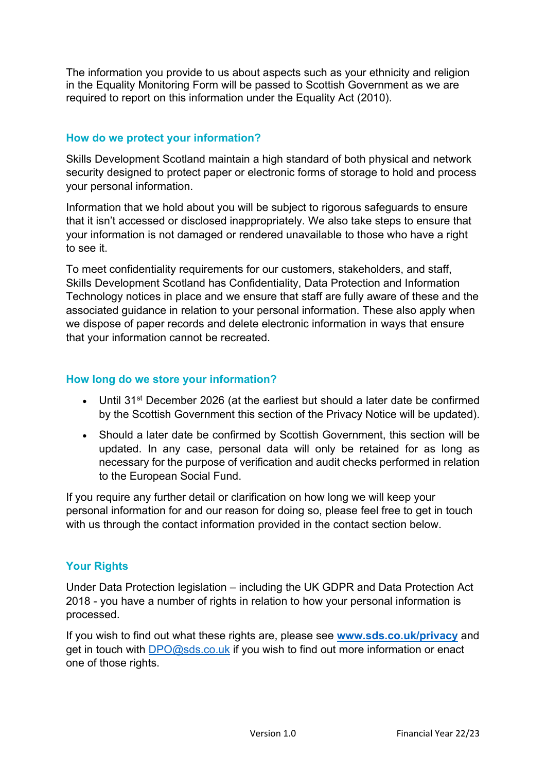The information you provide to us about aspects such as your ethnicity and religion in the Equality Monitoring Form will be passed to Scottish Government as we are required to report on this information under the Equality Act (2010).

## **How do we protect your information?**

Skills Development Scotland maintain a high standard of both physical and network security designed to protect paper or electronic forms of storage to hold and process your personal information.

Information that we hold about you will be subject to rigorous safeguards to ensure that it isn't accessed or disclosed inappropriately. We also take steps to ensure that your information is not damaged or rendered unavailable to those who have a right to see it.

To meet confidentiality requirements for our customers, stakeholders, and staff, Skills Development Scotland has Confidentiality, Data Protection and Information Technology notices in place and we ensure that staff are fully aware of these and the associated guidance in relation to your personal information. These also apply when we dispose of paper records and delete electronic information in ways that ensure that your information cannot be recreated.

## **How long do we store your information?**

- Until 31<sup>st</sup> December 2026 (at the earliest but should a later date be confirmed by the Scottish Government this section of the Privacy Notice will be updated).
- Should a later date be confirmed by Scottish Government, this section will be updated. In any case, personal data will only be retained for as long as necessary for the purpose of verification and audit checks performed in relation to the European Social Fund.

If you require any further detail or clarification on how long we will keep your personal information for and our reason for doing so, please feel free to get in touch with us through the contact information provided in the contact section below.

### **Your Rights**

Under Data Protection legislation – including the UK GDPR and Data Protection Act 2018 - you have a number of rights in relation to how your personal information is processed.

If you wish to find out what these rights are, please see **[www.sds.co.uk/privacy](http://www.sds.co.uk/privacy)** and get in touch with [DPO@sds.co.uk](mailto:DPO@sds.co.uk) if you wish to find out more information or enact one of those rights.